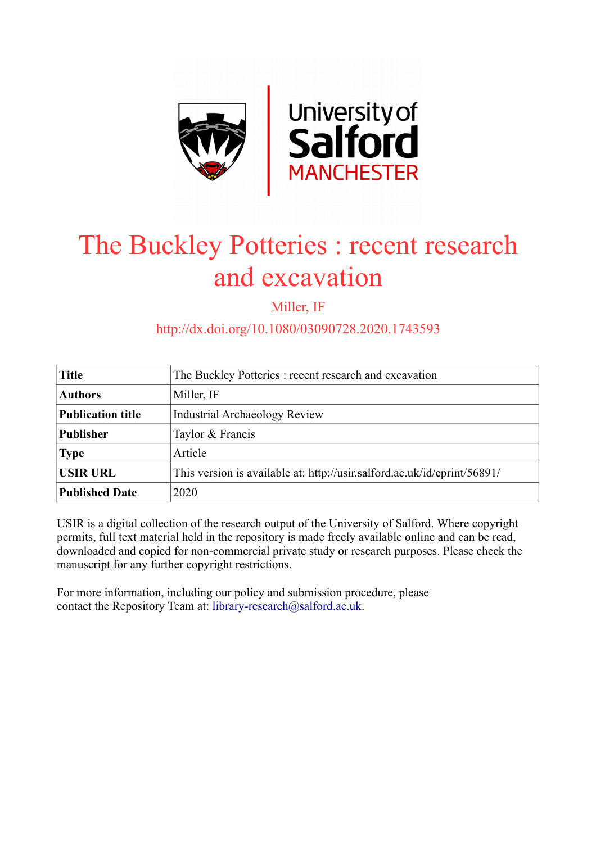

## The Buckley Potteries : recent research and excavation

Miller, IF

http://dx.doi.org/10.1080/03090728.2020.1743593

| <b>Title</b>             | The Buckley Potteries: recent research and excavation                    |
|--------------------------|--------------------------------------------------------------------------|
| <b>Authors</b>           | Miller, IF                                                               |
| <b>Publication title</b> | <b>Industrial Archaeology Review</b>                                     |
| <b>Publisher</b>         | Taylor & Francis                                                         |
| <b>Type</b>              | Article                                                                  |
| <b>USIR URL</b>          | This version is available at: http://usir.salford.ac.uk/id/eprint/56891/ |
| <b>Published Date</b>    | 2020                                                                     |

USIR is a digital collection of the research output of the University of Salford. Where copyright permits, full text material held in the repository is made freely available online and can be read, downloaded and copied for non-commercial private study or research purposes. Please check the manuscript for any further copyright restrictions.

For more information, including our policy and submission procedure, please contact the Repository Team at: [library-research@salford.ac.uk.](mailto:library-research@salford.ac.uk)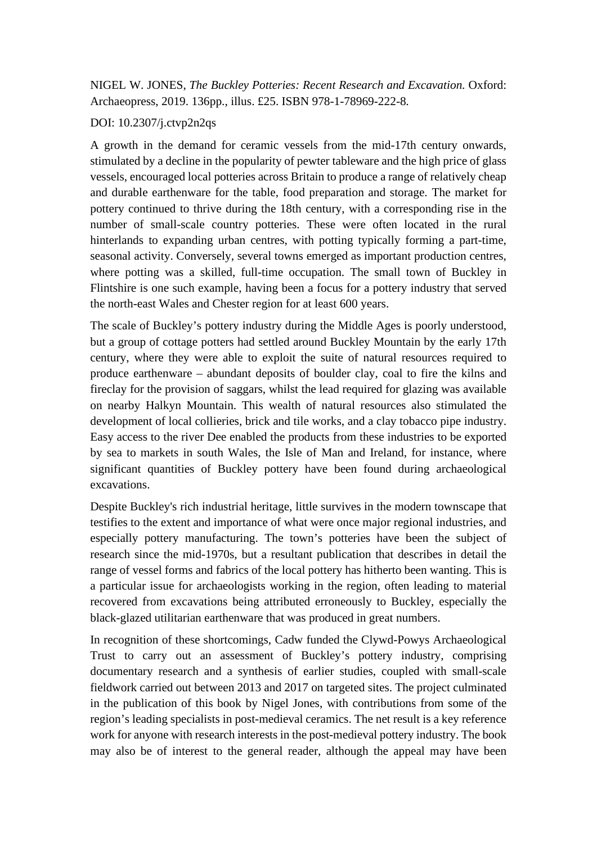NIGEL W. JONES, *The Buckley Potteries: Recent Research and Excavation.* Oxford: Archaeopress, 2019. 136pp., illus. £25. ISBN 978-1-78969-222-8*.*

## DOI: 10.2307/j.ctvp2n2qs

A growth in the demand for ceramic vessels from the mid-17th century onwards, stimulated by a decline in the popularity of pewter tableware and the high price of glass vessels, encouraged local potteries across Britain to produce a range of relatively cheap and durable earthenware for the table, food preparation and storage. The market for pottery continued to thrive during the 18th century, with a corresponding rise in the number of small-scale country potteries. These were often located in the rural hinterlands to expanding urban centres, with potting typically forming a part-time, seasonal activity. Conversely, several towns emerged as important production centres, where potting was a skilled, full-time occupation. The small town of Buckley in Flintshire is one such example, having been a focus for a pottery industry that served the north-east Wales and Chester region for at least 600 years.

The scale of Buckley's pottery industry during the Middle Ages is poorly understood, but a group of cottage potters had settled around Buckley Mountain by the early 17th century, where they were able to exploit the suite of natural resources required to produce earthenware – abundant deposits of boulder clay, coal to fire the kilns and fireclay for the provision of saggars, whilst the lead required for glazing was available on nearby Halkyn Mountain. This wealth of natural resources also stimulated the development of local collieries, brick and tile works, and a clay tobacco pipe industry. Easy access to the river Dee enabled the products from these industries to be exported by sea to markets in south Wales, the Isle of Man and Ireland, for instance, where significant quantities of Buckley pottery have been found during archaeological excavations.

Despite Buckley's rich industrial heritage, little survives in the modern townscape that testifies to the extent and importance of what were once major regional industries, and especially pottery manufacturing. The town's potteries have been the subject of research since the mid-1970s, but a resultant publication that describes in detail the range of vessel forms and fabrics of the local pottery has hitherto been wanting. This is a particular issue for archaeologists working in the region, often leading to material recovered from excavations being attributed erroneously to Buckley, especially the black-glazed utilitarian earthenware that was produced in great numbers.

In recognition of these shortcomings, Cadw funded the Clywd-Powys Archaeological Trust to carry out an assessment of Buckley's pottery industry, comprising documentary research and a synthesis of earlier studies, coupled with small-scale fieldwork carried out between 2013 and 2017 on targeted sites. The project culminated in the publication of this book by Nigel Jones, with contributions from some of the region's leading specialists in post-medieval ceramics. The net result is a key reference work for anyone with research interests in the post-medieval pottery industry. The book may also be of interest to the general reader, although the appeal may have been